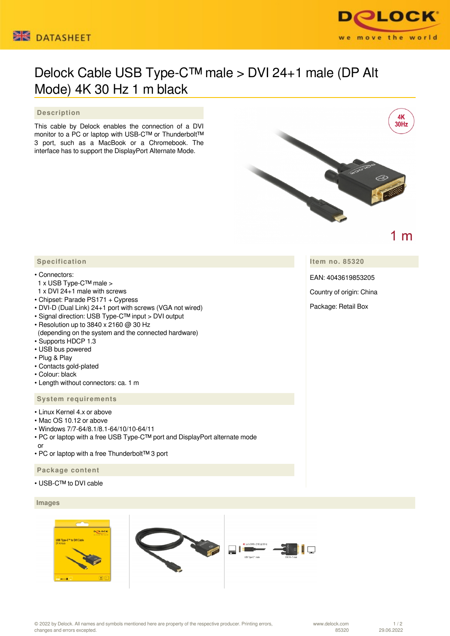



# Delock Cable USB Type-C™ male > DVI 24+1 male (DP Alt Mode) 4K 30 Hz 1 m black

## **Description**

This cable by Delock enables the connection of a DVI monitor to a PC or laptop with USB-C™ or Thunderbolt™ 3 port, such as a MacBook or a Chromebook. The interface has to support the DisplayPort Alternate Mode.



1 m

**Item no. 85320**

EAN: 4043619853205

Country of origin: China

Package: Retail Box

# **Specification**

#### • Connectors:

- 1 x USB Type-C™ male >
- 1 x DVI 24+1 male with screws
- Chipset: Parade PS171 + Cypress
- DVI-D (Dual Link) 24+1 port with screws (VGA not wired)
- Signal direction: USB Type-C™ input > DVI output
- Resolution up to 3840 x 2160 @ 30 Hz
- (depending on the system and the connected hardware)
- Supports HDCP 1.3
- USB bus powered
- Plug & Play
- Contacts gold-plated
- Colour: black
- Length without connectors: ca. 1 m

## **System requirements**

- Linux Kernel 4.x or above
- Mac OS 10.12 or above
- Windows 7/7-64/8.1/8.1-64/10/10-64/11
- PC or laptop with a free USB Type-C™ port and DisplayPort alternate mode or
- PC or laptop with a free Thunderbolt™ 3 port

## **Package content**

• USB-C™ to DVI cable

# **Images**